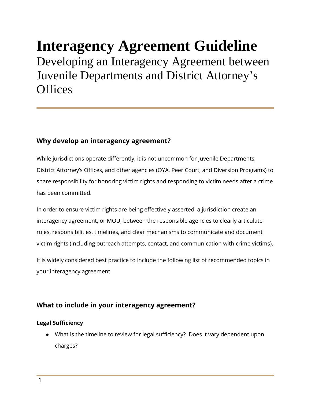# **Interagency Agreement Guideline**  Developing an Interagency Agreement between Juvenile Departments and District Attorney's **Offices**

## **Why develop an interagency agreement?**

While jurisdictions operate differently, it is not uncommon for Juvenile Departments, District Attorney's Offices, and other agencies (OYA, Peer Court, and Diversion Programs) to share responsibility for honoring victim rights and responding to victim needs after a crime has been committed.

In order to ensure victim rights are being effectively asserted, a jurisdiction create an interagency agreement, or MOU, between the responsible agencies to clearly articulate roles, responsibilities, timelines, and clear mechanisms to communicate and document victim rights (including outreach attempts, contact, and communication with crime victims).

It is widely considered best practice to include the following list of recommended topics in your interagency agreement.

# **What to include in your interagency agreement?**

## **Legal Sufficiency**

● What is the timeline to review for legal sufficiency? Does it vary dependent upon charges?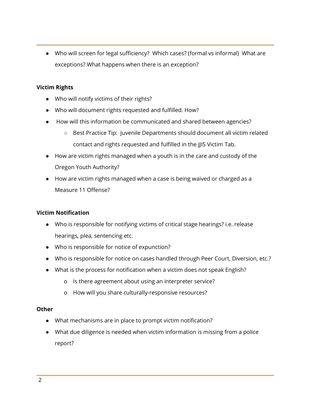● Who will screen for legal sufficiency? Which cases? (formal vs informal) What are exceptions? What happens when there is an exception?

## **Victim Rights**

- Who will notify victims of their rights?
- Who will document rights requested and fulfilled. How?
- How will this information be communicated and shared between agencies?
	- Best Practice Tip: Juvenile Departments should document all victim related contact and rights requested and fulfilled in the JJIS Victim Tab.
- How are victim rights managed when a youth is in the care and custody of the Oregon Youth Authority?
- How are victim rights managed when a case is being waived or charged as a Measure 11 Offense?

### **Victim Notification**

- Who is responsible for notifying victims of critical stage hearings? i.e. release hearings, plea, sentencing etc.
- Who is responsible for notice of expunction?
- Who is responsible for notice on cases handled through Peer Court, Diversion, etc.?
- What is the process for notification when a victim does not speak English?
	- o Is there agreement about using an interpreter service?
	- o How will you share culturally-responsive resources?

#### **Other**

- What mechanisms are in place to prompt victim notification?
- What due diligence is needed when victim information is missing from a police report?